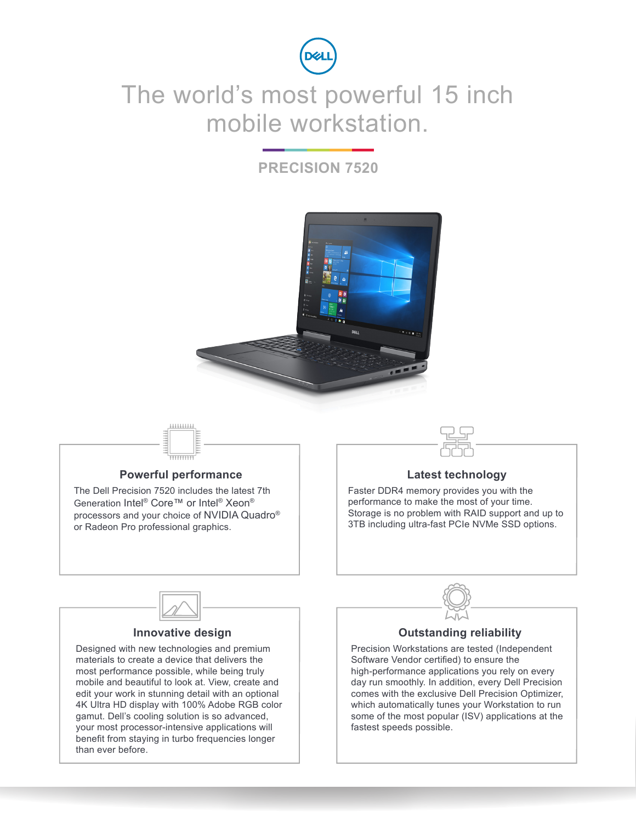

## The world's most powerful 15 inch mobile workstation.

### **PRECISION 7520**



# ..........

#### **Powerful performance**

The Dell Precision 7520 includes the latest 7th Generation Intel® Core™ or Intel® Xeon® processors and your choice of NVIDIA Quadro® or Radeon Pro professional graphics.



#### **Latest technology**

Faster DDR4 memory provides you with the performance to make the most of your time. Storage is no problem with RAID support and up to 3TB including ultra-fast PCIe NVMe SSD options.



#### **Innovative design**

Designed with new technologies and premium materials to create a device that delivers the most performance possible, while being truly mobile and beautiful to look at. View, create and edit your work in stunning detail with an optional 4K Ultra HD display with 100% Adobe RGB color gamut. Dell's cooling solution is so advanced, your most processor-intensive applications will benefit from staying in turbo frequencies longer than ever before.



#### **Outstanding reliability**

Precision Workstations are tested (Independent Software Vendor certified) to ensure the high-performance applications you rely on every day run smoothly. In addition, every Dell Precision comes with the exclusive Dell Precision Optimizer, which automatically tunes your Workstation to run some of the most popular (ISV) applications at the fastest speeds possible.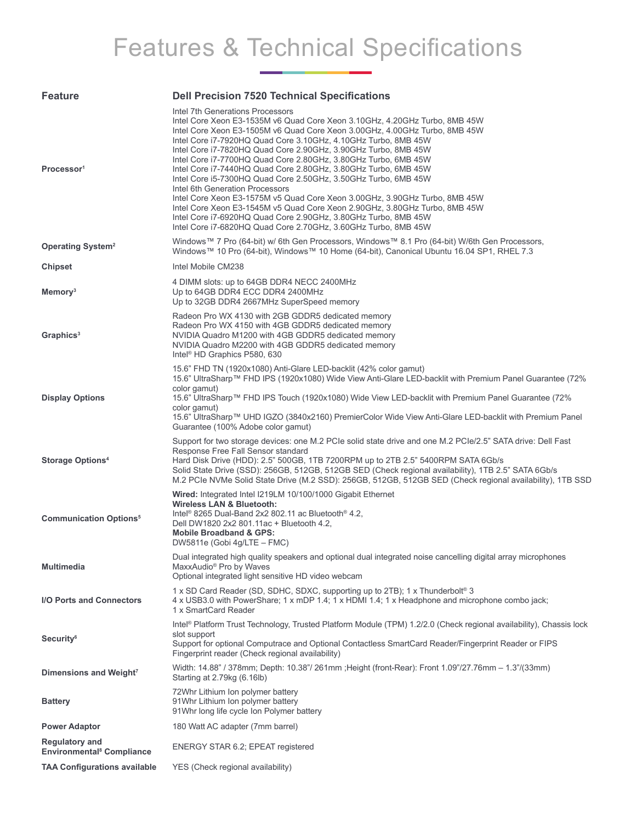# Features & Technical Specifications

| <b>Feature</b>                                                       | <b>Dell Precision 7520 Technical Specifications</b>                                                                                                                                                                                                                                                                                                                                                                                                                                                                                                                                                                                                                                                                                                                                                                                                                       |
|----------------------------------------------------------------------|---------------------------------------------------------------------------------------------------------------------------------------------------------------------------------------------------------------------------------------------------------------------------------------------------------------------------------------------------------------------------------------------------------------------------------------------------------------------------------------------------------------------------------------------------------------------------------------------------------------------------------------------------------------------------------------------------------------------------------------------------------------------------------------------------------------------------------------------------------------------------|
| Processor <sup>1</sup>                                               | Intel 7th Generations Processors<br>Intel Core Xeon E3-1535M v6 Quad Core Xeon 3.10GHz, 4.20GHz Turbo, 8MB 45W<br>Intel Core Xeon E3-1505M v6 Quad Core Xeon 3.00GHz, 4.00GHz Turbo, 8MB 45W<br>Intel Core i7-7920HQ Quad Core 3.10GHz, 4.10GHz Turbo, 8MB 45W<br>Intel Core i7-7820HQ Quad Core 2.90GHz, 3.90GHz Turbo, 8MB 45W<br>Intel Core i7-7700HQ Quad Core 2.80GHz, 3.80GHz Turbo, 6MB 45W<br>Intel Core i7-7440HQ Quad Core 2.80GHz, 3.80GHz Turbo, 6MB 45W<br>Intel Core i5-7300HQ Quad Core 2.50GHz, 3.50GHz Turbo, 6MB 45W<br>Intel 6th Generation Processors<br>Intel Core Xeon E3-1575M v5 Quad Core Xeon 3.00GHz, 3.90GHz Turbo, 8MB 45W<br>Intel Core Xeon E3-1545M v5 Quad Core Xeon 2.90GHz, 3.80GHz Turbo, 8MB 45W<br>Intel Core i7-6920HQ Quad Core 2.90GHz, 3.80GHz Turbo, 8MB 45W<br>Intel Core i7-6820HQ Quad Core 2.70GHz, 3.60GHz Turbo, 8MB 45W |
| <b>Operating System<sup>2</sup></b>                                  | Windows™ 7 Pro (64-bit) w/ 6th Gen Processors, Windows™ 8.1 Pro (64-bit) W/6th Gen Processors,<br>Windows™ 10 Pro (64-bit), Windows™ 10 Home (64-bit), Canonical Ubuntu 16.04 SP1, RHEL 7.3                                                                                                                                                                                                                                                                                                                                                                                                                                                                                                                                                                                                                                                                               |
| <b>Chipset</b>                                                       | Intel Mobile CM238                                                                                                                                                                                                                                                                                                                                                                                                                                                                                                                                                                                                                                                                                                                                                                                                                                                        |
| Memory <sup>3</sup>                                                  | 4 DIMM slots: up to 64GB DDR4 NECC 2400MHz<br>Up to 64GB DDR4 ECC DDR4 2400MHz<br>Up to 32GB DDR4 2667MHz SuperSpeed memory                                                                                                                                                                                                                                                                                                                                                                                                                                                                                                                                                                                                                                                                                                                                               |
| Graphics <sup>3</sup>                                                | Radeon Pro WX 4130 with 2GB GDDR5 dedicated memory<br>Radeon Pro WX 4150 with 4GB GDDR5 dedicated memory<br>NVIDIA Quadro M1200 with 4GB GDDR5 dedicated memory<br>NVIDIA Quadro M2200 with 4GB GDDR5 dedicated memory<br>Intel <sup>®</sup> HD Graphics P580, 630                                                                                                                                                                                                                                                                                                                                                                                                                                                                                                                                                                                                        |
| <b>Display Options</b>                                               | 15.6" FHD TN (1920x1080) Anti-Glare LED-backlit (42% color gamut)<br>15.6" UltraSharp™ FHD IPS (1920x1080) Wide View Anti-Glare LED-backlit with Premium Panel Guarantee (72%<br>color gamut)<br>15.6" UltraSharp™ FHD IPS Touch (1920x1080) Wide View LED-backlit with Premium Panel Guarantee (72%<br>color gamut)<br>15.6" UltraSharp™ UHD IGZO (3840x2160) PremierColor Wide View Anti-Glare LED-backlit with Premium Panel<br>Guarantee (100% Adobe color gamut)                                                                                                                                                                                                                                                                                                                                                                                                     |
| <b>Storage Options4</b>                                              | Support for two storage devices: one M.2 PCIe solid state drive and one M.2 PCIe/2.5" SATA drive: Dell Fast<br>Response Free Fall Sensor standard<br>Hard Disk Drive (HDD): 2.5" 500GB, 1TB 7200RPM up to 2TB 2.5" 5400RPM SATA 6Gb/s<br>Solid State Drive (SSD): 256GB, 512GB, 512GB SED (Check regional availability), 1TB 2.5" SATA 6Gb/s<br>M.2 PCIe NVMe Solid State Drive (M.2 SSD): 256GB, 512GB, 512GB SED (Check regional availability), 1TB SSD                                                                                                                                                                                                                                                                                                                                                                                                                 |
| <b>Communication Options<sup>5</sup></b>                             | Wired: Integrated Intel I219LM 10/100/1000 Gigabit Ethernet<br>Wireless LAN & Bluetooth:<br>Intel <sup>®</sup> 8265 Dual-Band 2x2 802.11 ac Bluetooth <sup>®</sup> 4.2,<br>Dell DW1820 2x2 801.11ac + Bluetooth 4.2,<br><b>Mobile Broadband &amp; GPS:</b><br>DW5811e (Gobi 4g/LTE – FMC)                                                                                                                                                                                                                                                                                                                                                                                                                                                                                                                                                                                 |
| <b>Multimedia</b>                                                    | Dual integrated high quality speakers and optional dual integrated noise cancelling digital array microphones<br>MaxxAudio <sup>®</sup> Pro by Waves<br>Optional integrated light sensitive HD video webcam                                                                                                                                                                                                                                                                                                                                                                                                                                                                                                                                                                                                                                                               |
| I/O Ports and Connectors                                             | 1 x SD Card Reader (SD, SDHC, SDXC, supporting up to 2TB); 1 x Thunderbolt <sup>®</sup> 3<br>4 x USB3.0 with PowerShare; 1 x mDP 1.4; 1 x HDMI 1.4; 1 x Headphone and microphone combo jack;<br>1 x SmartCard Reader                                                                                                                                                                                                                                                                                                                                                                                                                                                                                                                                                                                                                                                      |
| Security <sup>6</sup>                                                | Intel® Platform Trust Technology, Trusted Platform Module (TPM) 1.2/2.0 (Check regional availability), Chassis lock<br>slot support<br>Support for optional Computrace and Optional Contactless SmartCard Reader/Fingerprint Reader or FIPS<br>Fingerprint reader (Check regional availability)                                                                                                                                                                                                                                                                                                                                                                                                                                                                                                                                                                           |
| Dimensions and Weight <sup>7</sup>                                   | Width: 14.88" / 378mm; Depth: 10.38"/ 261mm ; Height (front-Rear): Front 1.09"/27.76mm - 1.3"/(33mm)<br>Starting at 2.79kg (6.16lb)                                                                                                                                                                                                                                                                                                                                                                                                                                                                                                                                                                                                                                                                                                                                       |
| <b>Battery</b>                                                       | 72Whr Lithium Ion polymer battery<br>91Whr Lithium Ion polymer battery<br>91Whr long life cycle Ion Polymer battery                                                                                                                                                                                                                                                                                                                                                                                                                                                                                                                                                                                                                                                                                                                                                       |
| <b>Power Adaptor</b>                                                 | 180 Watt AC adapter (7mm barrel)                                                                                                                                                                                                                                                                                                                                                                                                                                                                                                                                                                                                                                                                                                                                                                                                                                          |
| <b>Regulatory and</b><br><b>Environmental<sup>8</sup> Compliance</b> | ENERGY STAR 6.2; EPEAT registered                                                                                                                                                                                                                                                                                                                                                                                                                                                                                                                                                                                                                                                                                                                                                                                                                                         |
| <b>TAA Configurations available</b>                                  | YES (Check regional availability)                                                                                                                                                                                                                                                                                                                                                                                                                                                                                                                                                                                                                                                                                                                                                                                                                                         |